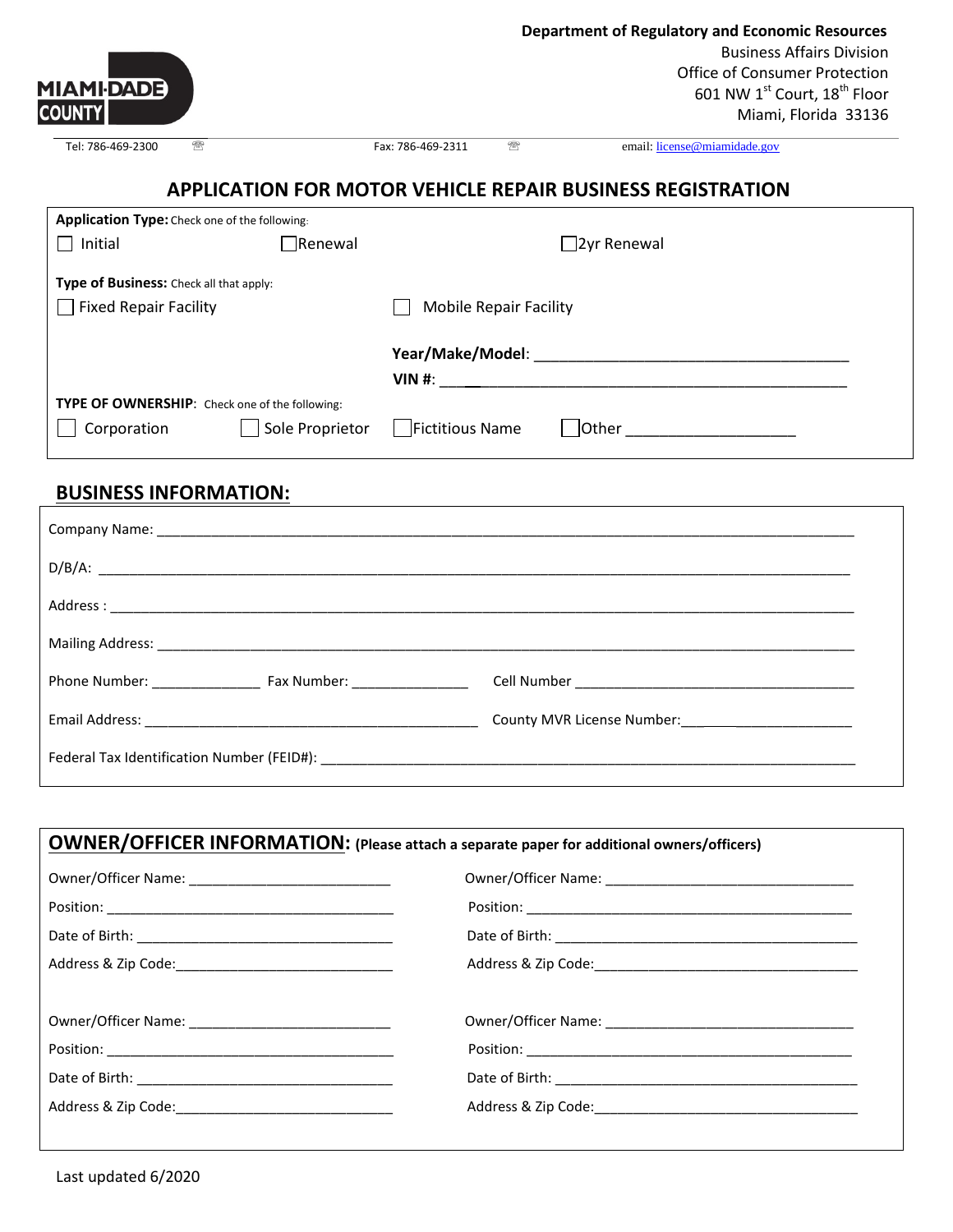|                   |   |                                                             |   | <b>Department of Regulatory and Economic Resources</b> |
|-------------------|---|-------------------------------------------------------------|---|--------------------------------------------------------|
|                   |   |                                                             |   | <b>Business Affairs Division</b>                       |
|                   |   |                                                             |   | Office of Consumer Protection                          |
| <b>MIAMI-DADE</b> |   |                                                             |   | 601 NW 1 <sup>st</sup> Court, 18 <sup>th</sup> Floor   |
| <b>COUNTY</b>     |   |                                                             |   | Miami, Florida 33136                                   |
| Tel: 786-469-2300 | 需 | Fax: 786-469-2311                                           | ₩ | email: license@miamidade.gov                           |
|                   |   | ADDI ICATION EOR MOTOR VEHICLE REDAIR RHSINESS REGISTRATION |   |                                                        |

#### **APPLICATION FOR MOTOR VEHICLE REPAIR BUSINESS REGISTRATION**  JR VENILLE REPAIR DI

| Application Type: Check one of the following:                                                  |                   |                               |  |
|------------------------------------------------------------------------------------------------|-------------------|-------------------------------|--|
| $\Box$ Initial                                                                                 | $\exists$ Renewal | $\Box$ 2yr Renewal            |  |
| <b>Type of Business:</b> Check all that apply:<br><b>Fixed Repair Facility</b><br>$\mathbf{1}$ |                   | <b>Mobile Repair Facility</b> |  |
|                                                                                                |                   | Year/Make/Model:<br>$VIN$ #:  |  |
| <b>TYPE OF OWNERSHIP:</b> Check one of the following:<br>Corporation                           | Sole Proprietor   | Fictitious Name<br> Other     |  |

# **BUSINESS INFORMATION:**

|                                                         | <b>OWNER/OFFICER INFORMATION:</b> (Please attach a separate paper for additional owners/officers) |
|---------------------------------------------------------|---------------------------------------------------------------------------------------------------|
|                                                         |                                                                                                   |
|                                                         |                                                                                                   |
|                                                         |                                                                                                   |
| Address & Zip Code: ___________________________________ |                                                                                                   |
| Owner/Officer Name: ______________________________      |                                                                                                   |
|                                                         |                                                                                                   |
|                                                         |                                                                                                   |
|                                                         |                                                                                                   |
|                                                         |                                                                                                   |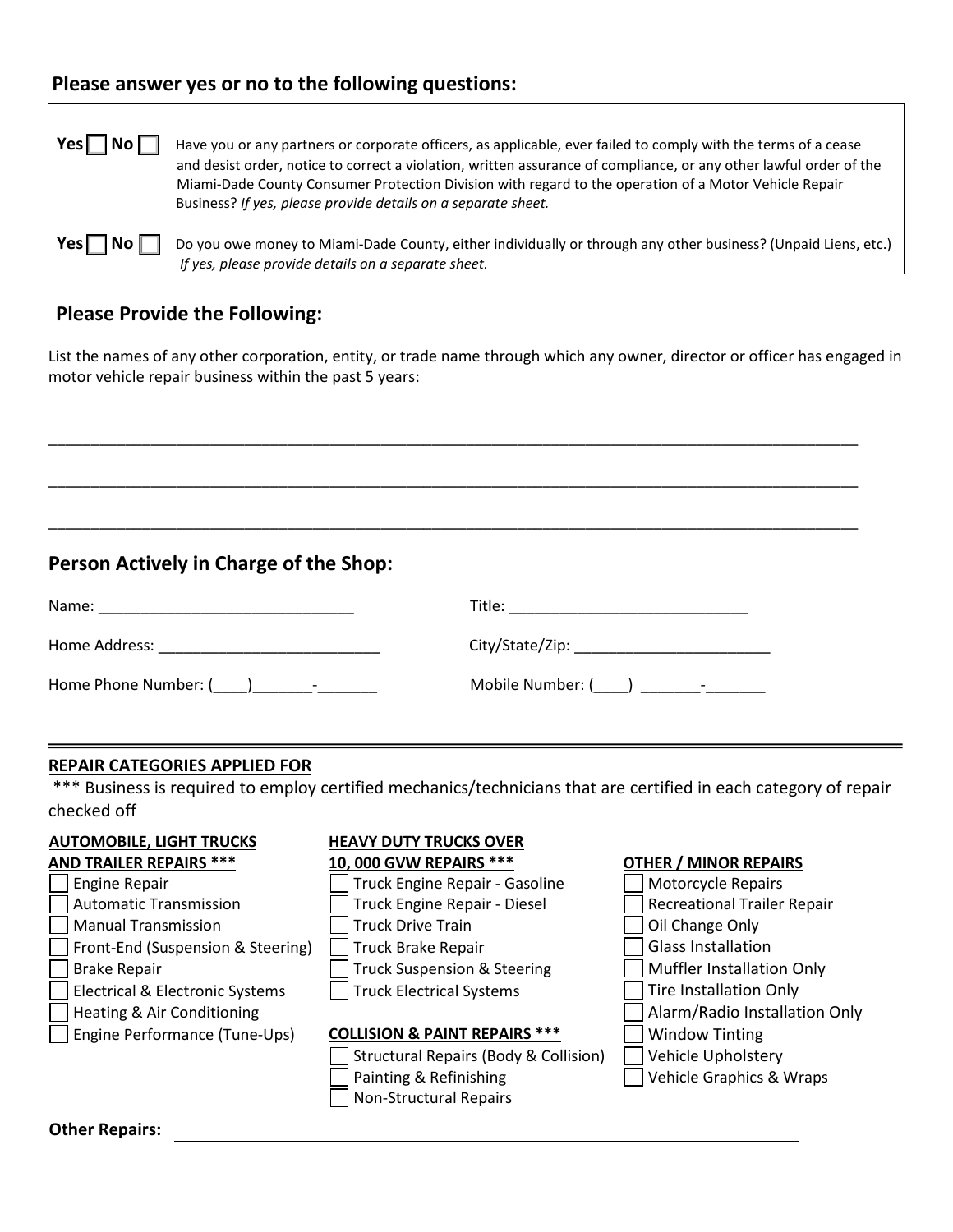## **Please answer yes or no to the following questions:**

| No l<br>Yesl | Have you or any partners or corporate officers, as applicable, ever failed to comply with the terms of a cease<br>and desist order, notice to correct a violation, written assurance of compliance, or any other lawful order of the<br>Miami-Dade County Consumer Protection Division with regard to the operation of a Motor Vehicle Repair<br>Business? If yes, please provide details on a separate sheet. |
|--------------|----------------------------------------------------------------------------------------------------------------------------------------------------------------------------------------------------------------------------------------------------------------------------------------------------------------------------------------------------------------------------------------------------------------|
| No $\Gamma$  | Do you owe money to Miami-Dade County, either individually or through any other business? (Unpaid Liens, etc.)                                                                                                                                                                                                                                                                                                 |
| Yes          | If yes, please provide details on a separate sheet.                                                                                                                                                                                                                                                                                                                                                            |

## **Please Provide the Following:**

List the names of any other corporation, entity, or trade name through which any owner, director or officer has engaged in motor vehicle repair business within the past 5 years:

\_\_\_\_\_\_\_\_\_\_\_\_\_\_\_\_\_\_\_\_\_\_\_\_\_\_\_\_\_\_\_\_\_\_\_\_\_\_\_\_\_\_\_\_\_\_\_\_\_\_\_\_\_\_\_\_\_\_\_\_\_\_\_\_\_\_\_\_\_\_\_\_\_\_\_\_\_\_\_\_\_\_\_\_\_\_\_\_\_\_\_\_\_\_\_

\_\_\_\_\_\_\_\_\_\_\_\_\_\_\_\_\_\_\_\_\_\_\_\_\_\_\_\_\_\_\_\_\_\_\_\_\_\_\_\_\_\_\_\_\_\_\_\_\_\_\_\_\_\_\_\_\_\_\_\_\_\_\_\_\_\_\_\_\_\_\_\_\_\_\_\_\_\_\_\_\_\_\_\_\_\_\_\_\_\_\_\_\_\_\_

\_\_\_\_\_\_\_\_\_\_\_\_\_\_\_\_\_\_\_\_\_\_\_\_\_\_\_\_\_\_\_\_\_\_\_\_\_\_\_\_\_\_\_\_\_\_\_\_\_\_\_\_\_\_\_\_\_\_\_\_\_\_\_\_\_\_\_\_\_\_\_\_\_\_\_\_\_\_\_\_\_\_\_\_\_\_\_\_\_\_\_\_\_\_\_

## **Person Actively in Charge of the Shop:**

| Name:                              | Title:                                          |
|------------------------------------|-------------------------------------------------|
| Home Address:                      | City/State/Zip:                                 |
| Home Phone Number: (<br>$\sim$ $-$ | Mobile Number: (<br>and the control of the con- |

### **REPAIR CATEGORIES APPLIED FOR**

\*\*\* Business is required to employ certified mechanics/technicians that are certified in each category of repair checked off

### **AUTOMOBILE, LIGHT TRUCKS**

# **HEAVY DUTY TRUCKS OVER**



**Other Repairs:**